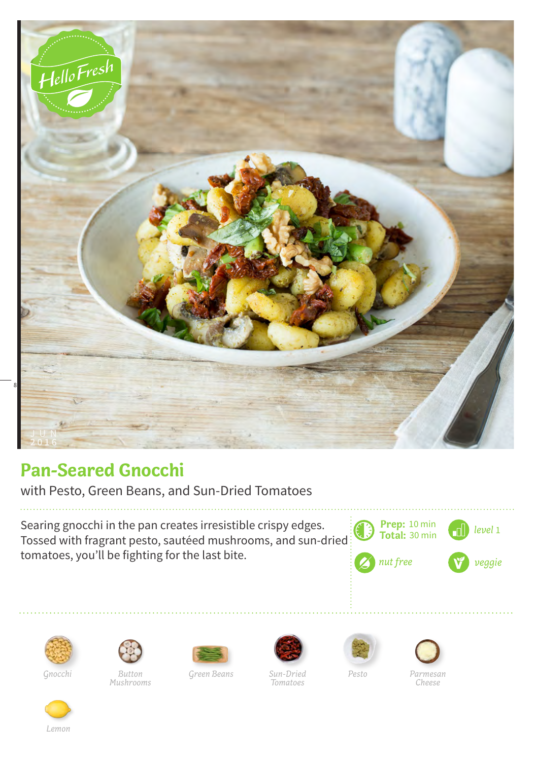

## **Pan-Seared Gnocchi**

with Pesto, Green Beans, and Sun-Dried Tomatoes

Searing gnocchi in the pan creates irresistible crispy edges. Tossed with fragrant pesto, sautéed mushrooms, and sun-dried tomatoes, you'll be fighting for the last bite.







*Button Mushrooms Gnocchi Green Beans Pesto Parmesan* 





*Tomatoes*



*Cheese*